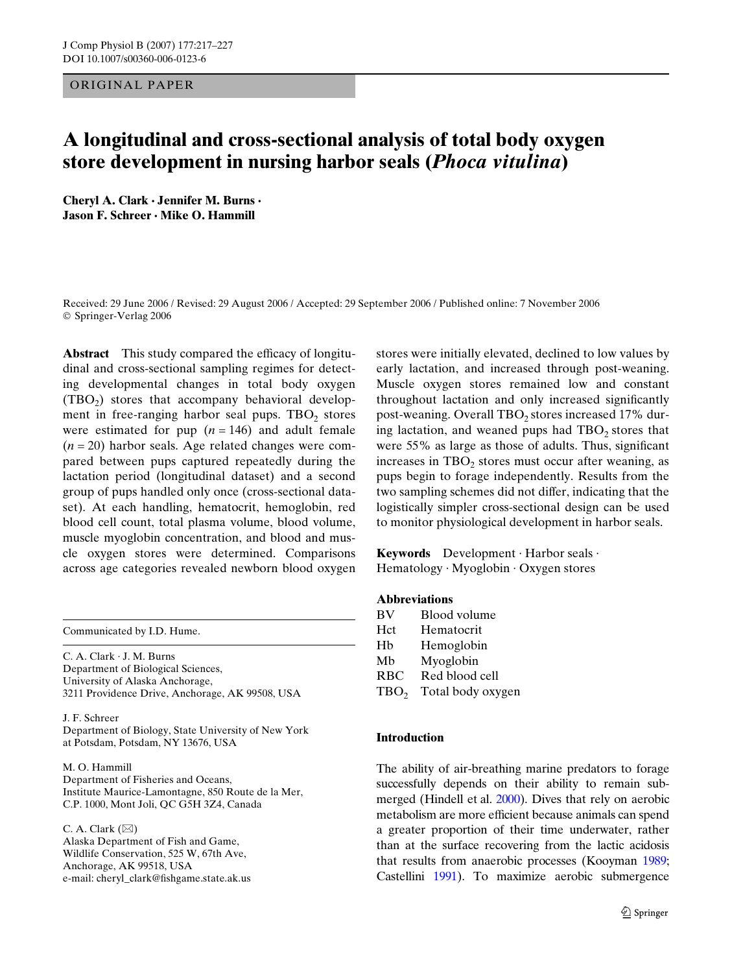## ORIGINAL PAPER

# **A longitudinal and cross-sectional analysis of total body oxygen store development in nursing harbor seals (***Phoca vitulina***)**

**Cheryl A. Clark · Jennifer M. Burns · Jason F. Schreer · Mike O. Hammill** 

Received: 29 June 2006 / Revised: 29 August 2006 / Accepted: 29 September 2006 / Published online: 7 November 2006 © Springer-Verlag 2006

**Abstract** This study compared the efficacy of longitudinal and cross-sectional sampling regimes for detecting developmental changes in total body oxygen  $(TBO<sub>2</sub>)$  stores that accompany behavioral development in free-ranging harbor seal pups.  $TBO<sub>2</sub>$  stores were estimated for pup  $(n = 146)$  and adult female  $(n = 20)$  harbor seals. Age related changes were compared between pups captured repeatedly during the lactation period (longitudinal dataset) and a second group of pups handled only once (cross-sectional dataset). At each handling, hematocrit, hemoglobin, red blood cell count, total plasma volume, blood volume, muscle myoglobin concentration, and blood and muscle oxygen stores were determined. Comparisons across age categories revealed newborn blood oxygen

Communicated by I.D. Hume.

C. A. Clark · J. M. Burns Department of Biological Sciences, University of Alaska Anchorage, 3211 Providence Drive, Anchorage, AK 99508, USA

J. F. Schreer Department of Biology, State University of New York at Potsdam, Potsdam, NY 13676, USA

M. O. Hammill Department of Fisheries and Oceans, Institute Maurice-Lamontagne, 850 Route de la Mer, C.P. 1000, Mont Joli, QC G5H 3Z4, Canada

C. A. Clark  $(\boxtimes)$ 

Alaska Department of Fish and Game, Wildlife Conservation, 525 W, 67th Ave, Anchorage, AK 99518, USA e-mail: cheryl\_clark@fishgame.state.ak.us stores were initially elevated, declined to low values by early lactation, and increased through post-weaning. Muscle oxygen stores remained low and constant throughout lactation and only increased significantly post-weaning. Overall  $TBO_2$  stores increased 17% during lactation, and weaned pups had  $TBO<sub>2</sub>$  stores that were 55% as large as those of adults. Thus, significant increases in  $TBO<sub>2</sub>$  stores must occur after weaning, as pups begin to forage independently. Results from the two sampling schemes did not differ, indicating that the logistically simpler cross-sectional design can be used to monitor physiological development in harbor seals.

**Keywords** Development · Harbor seals · Hematology · Myoglobin · Oxygen stores

## **Abbreviations**

| BV               | Blood volume      |
|------------------|-------------------|
| Hct              | Hematocrit        |
| Hb               | Hemoglobin        |
| Mb               | Myoglobin         |
| RBC              | Red blood cell    |
| TBO <sub>2</sub> | Total body oxygen |
|                  |                   |

## **Introduction**

The ability of air-breathing marine predators to forage successfully depends on their ability to remain submerged (Hindell et al. [2000\)](#page-9-0). Dives that rely on aerobic metabolism are more efficient because animals can spend a greater proportion of their time underwater, rather than at the surface recovering from the lactic acidosis that results from anaerobic processes (Kooyman [1989](#page-10-0); Castellini [1991\)](#page-9-1). To maximize aerobic submergence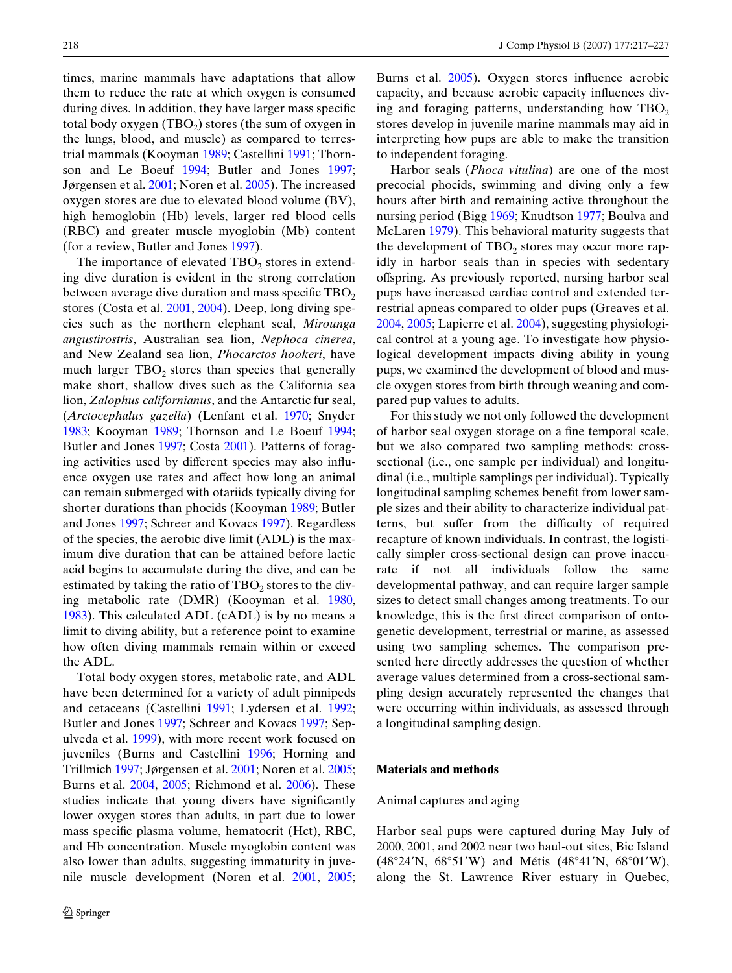times, marine mammals have adaptations that allow them to reduce the rate at which oxygen is consumed during dives. In addition, they have larger mass specific total body oxygen  $(TBO_2)$  stores (the sum of oxygen in the lungs, blood, and muscle) as compared to terrestrial mammals (Kooyman [1989;](#page-10-0) Castellini [1991;](#page-9-1) Thornson and Le Boeuf [1994](#page-10-1); Butler and Jones [1997;](#page-9-2) Jørgensen et al. [2001;](#page-10-2) Noren et al. [2005\)](#page-10-3). The increased oxygen stores are due to elevated blood volume (BV), high hemoglobin (Hb) levels, larger red blood cells (RBC) and greater muscle myoglobin (Mb) content (for a review, Butler and Jones [1997](#page-9-2)).

The importance of elevated  $TBO<sub>2</sub>$  stores in extending dive duration is evident in the strong correlation between average dive duration and mass specific  $TBO<sub>2</sub>$ stores (Costa et al. [2001,](#page-9-3) [2004](#page-9-4)). Deep, long diving species such as the northern elephant seal, *Mirounga angustirostris*, Australian sea lion, *Nephoca cinerea*, and New Zealand sea lion, *Phocarctos hookeri*, have much larger  $TBO<sub>2</sub>$  stores than species that generally make short, shallow dives such as the California sea lion, *Zalophus californianus*, and the Antarctic fur seal, (*Arctocephalus gazella*) (Lenfant et al. [1970;](#page-10-4) Snyder [1983](#page-10-5); Kooyman [1989](#page-10-0); Thornson and Le Boeuf [1994;](#page-10-1) Butler and Jones [1997;](#page-9-2) Costa [2001](#page-9-3)). Patterns of foraging activities used by different species may also influence oxygen use rates and affect how long an animal can remain submerged with otariids typically diving for shorter durations than phocids (Kooyman [1989](#page-10-0); Butler and Jones [1997](#page-9-2); Schreer and Kovacs [1997](#page-10-6)). Regardless of the species, the aerobic dive limit (ADL) is the maximum dive duration that can be attained before lactic acid begins to accumulate during the dive, and can be estimated by taking the ratio of  $TBO<sub>2</sub>$  stores to the diving metabolic rate (DMR) (Kooyman et al. [1980,](#page-10-7) [1983](#page-10-8)). This calculated ADL (cADL) is by no means a limit to diving ability, but a reference point to examine how often diving mammals remain within or exceed the ADL.

Total body oxygen stores, metabolic rate, and ADL have been determined for a variety of adult pinnipeds and cetaceans (Castellini [1991](#page-9-1); Lydersen et al. [1992;](#page-10-9) Butler and Jones [1997;](#page-9-2) Schreer and Kovacs [1997](#page-10-6); Sepulveda et al. [1999\)](#page-10-10), with more recent work focused on juveniles (Burns and Castellini [1996;](#page-9-5) Horning and Trillmich [1997;](#page-10-11) Jørgensen et al. [2001](#page-10-2); Noren et al. [2005;](#page-10-3) Burns et al. [2004,](#page-9-6) [2005](#page-9-7); Richmond et al. [2006\)](#page-10-12). These studies indicate that young divers have significantly lower oxygen stores than adults, in part due to lower mass specific plasma volume, hematocrit (Hct), RBC, and Hb concentration. Muscle myoglobin content was also lower than adults, suggesting immaturity in juvenile muscle development (Noren et al. [2001,](#page-10-13) [2005;](#page-10-3) Burns et al. [2005\)](#page-9-7). Oxygen stores influence aerobic capacity, and because aerobic capacity influences diving and foraging patterns, understanding how  $TBO<sub>2</sub>$ stores develop in juvenile marine mammals may aid in interpreting how pups are able to make the transition to independent foraging.

Harbor seals (*Phoca vitulina*) are one of the most precocial phocids, swimming and diving only a few hours after birth and remaining active throughout the nursing period (Bigg [1969;](#page-9-8) Knudtson [1977](#page-10-14); Boulva and McLaren [1979\)](#page-9-9). This behavioral maturity suggests that the development of  $TBO<sub>2</sub>$  stores may occur more rapidly in harbor seals than in species with sedentary offspring. As previously reported, nursing harbor seal pups have increased cardiac control and extended terrestrial apneas compared to older pups (Greaves et al. [2004](#page-9-10), [2005](#page-9-11); Lapierre et al. [2004](#page-10-15)), suggesting physiological control at a young age. To investigate how physiological development impacts diving ability in young pups, we examined the development of blood and muscle oxygen stores from birth through weaning and compared pup values to adults.

For this study we not only followed the development of harbor seal oxygen storage on a fine temporal scale, but we also compared two sampling methods: crosssectional (i.e., one sample per individual) and longitudinal (i.e., multiple samplings per individual). Typically longitudinal sampling schemes benefit from lower sample sizes and their ability to characterize individual patterns, but suffer from the difficulty of required recapture of known individuals. In contrast, the logistically simpler cross-sectional design can prove inaccurate if not all individuals follow the same developmental pathway, and can require larger sample sizes to detect small changes among treatments. To our knowledge, this is the first direct comparison of ontogenetic development, terrestrial or marine, as assessed using two sampling schemes. The comparison presented here directly addresses the question of whether average values determined from a cross-sectional sampling design accurately represented the changes that were occurring within individuals, as assessed through a longitudinal sampling design.

## **Materials and methods**

#### Animal captures and aging

Harbor seal pups were captured during May–July of 2000, 2001, and 2002 near two haul-out sites, Bic Island  $(48^{\circ}24'N, 68^{\circ}51'W)$  and Métis  $(48^{\circ}41'N, 68^{\circ}01'W)$ , along the St. Lawrence River estuary in Quebec,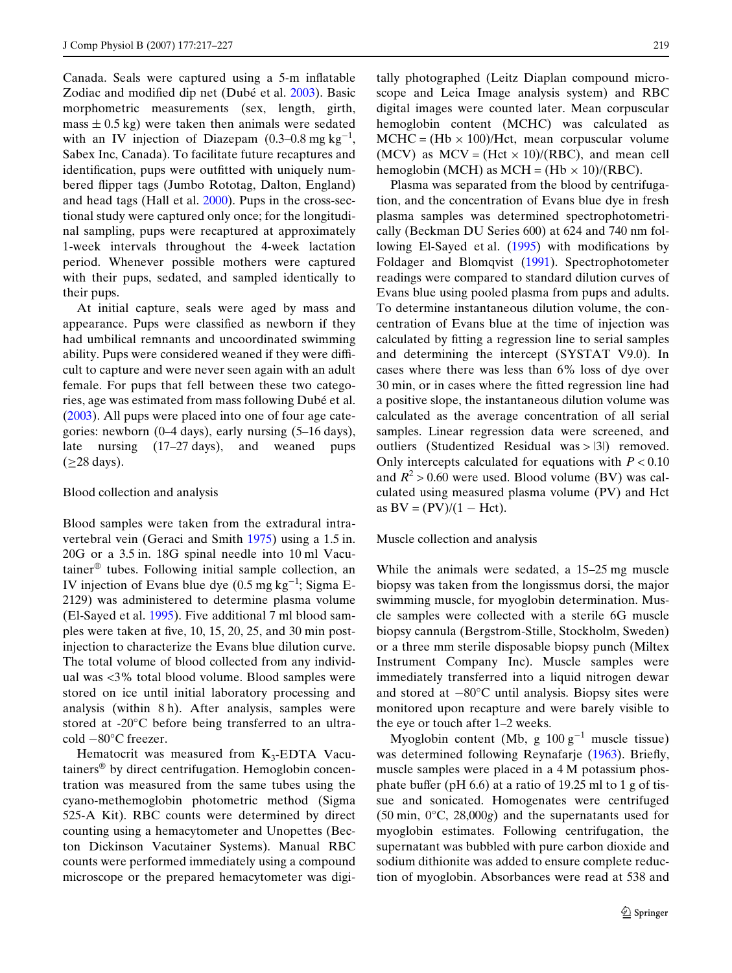Canada. Seals were captured using a 5-m inflatable Zodiac and modified dip net (Dubé et al. [2003](#page-9-12)). Basic morphometric measurements (sex, length, girth, mass  $\pm$  0.5 kg) were taken then animals were sedated with an IV injection of Diazepam  $(0.3-0.8 \text{ mg kg}^{-1})$ , Sabex Inc, Canada). To facilitate future recaptures and identification, pups were outfitted with uniquely numbered flipper tags (Jumbo Rototag, Dalton, England) and head tags (Hall et al. [2000](#page-9-13)). Pups in the cross-sectional study were captured only once; for the longitudinal sampling, pups were recaptured at approximately 1-week intervals throughout the 4-week lactation period. Whenever possible mothers were captured with their pups, sedated, and sampled identically to their pups.

At initial capture, seals were aged by mass and appearance. Pups were classified as newborn if they had umbilical remnants and uncoordinated swimming ability. Pups were considered weaned if they were difficult to capture and were never seen again with an adult female. For pups that fell between these two categories, age was estimated from mass following Dubé et al. ([2003\)](#page-9-12). All pups were placed into one of four age categories: newborn (0–4 days), early nursing (5–16 days), late nursing (17–27 days), and weaned pups  $(\geq 28 \text{ days}).$ 

#### Blood collection and analysis

Blood samples were taken from the extradural intravertebral vein (Geraci and Smith [1975](#page-9-14)) using a 1.5 in. 20G or a 3.5 in. 18G spinal needle into 10 ml Vacutainer® tubes. Following initial sample collection, an IV injection of Evans blue dye  $(0.5 \text{ mg kg}^{-1})$ ; Sigma E-2129) was administered to determine plasma volume (El-Sayed et al. [1995](#page-9-15)). Five additional 7 ml blood samples were taken at five,  $10$ ,  $15$ ,  $20$ ,  $25$ , and  $30$  min postinjection to characterize the Evans blue dilution curve. The total volume of blood collected from any individual was <3% total blood volume. Blood samples were stored on ice until initial laboratory processing and analysis (within 8 h). After analysis, samples were stored at -20°C before being transferred to an ultracold  $-80^{\circ}$ C freezer.

Hematocrit was measured from  $K_3$ -EDTA Vacutainers® by direct centrifugation. Hemoglobin concentration was measured from the same tubes using the cyano-methemoglobin photometric method (Sigma 525-A Kit). RBC counts were determined by direct counting using a hemacytometer and Unopettes (Becton Dickinson Vacutainer Systems). Manual RBC counts were performed immediately using a compound microscope or the prepared hemacytometer was digitally photographed (Leitz Diaplan compound microscope and Leica Image analysis system) and RBC digital images were counted later. Mean corpuscular hemoglobin content (MCHC) was calculated as  $MCHC = (Hb \times 100)/Hct$ , mean corpuscular volume (MCV) as  $MCV = (Het \times 10)/(RBC)$ , and mean cell hemoglobin (MCH) as MCH =  $(Hb \times 10)/(RBC)$ .

Plasma was separated from the blood by centrifugation, and the concentration of Evans blue dye in fresh plasma samples was determined spectrophotometrically (Beckman DU Series 600) at 624 and 740 nm fol-lowing El-Sayed et al. [\(1995](#page-9-15)) with modifications by Foldager and Blomqvist ([1991](#page-9-16)). Spectrophotometer readings were compared to standard dilution curves of Evans blue using pooled plasma from pups and adults. To determine instantaneous dilution volume, the concentration of Evans blue at the time of injection was calculated by fitting a regression line to serial samples and determining the intercept (SYSTAT V9.0). In cases where there was less than 6% loss of dye over 30 min, or in cases where the fitted regression line had a positive slope, the instantaneous dilution volume was calculated as the average concentration of all serial samples. Linear regression data were screened, and outliers (Studentized Residual was > |3|) removed. Only intercepts calculated for equations with  $P < 0.10$ and  $R^2 > 0.60$  were used. Blood volume (BV) was calculated using measured plasma volume (PV) and Hct as  $BV = (PV)/(1 - Hct)$ .

#### Muscle collection and analysis

While the animals were sedated, a 15–25 mg muscle biopsy was taken from the longissmus dorsi, the major swimming muscle, for myoglobin determination. Muscle samples were collected with a sterile 6G muscle biopsy cannula (Bergstrom-Stille, Stockholm, Sweden) or a three mm sterile disposable biopsy punch (Miltex Instrument Company Inc). Muscle samples were immediately transferred into a liquid nitrogen dewar and stored at  $-80^{\circ}$ C until analysis. Biopsy sites were monitored upon recapture and were barely visible to the eye or touch after 1–2 weeks.

Myoglobin content (Mb, g  $100 \text{ g}^{-1}$  muscle tissue) was determined following Reynafarje ([1963\)](#page-10-16). Briefly, muscle samples were placed in a 4 M potassium phosphate buffer (pH  $6.6$ ) at a ratio of 19.25 ml to 1 g of tissue and sonicated. Homogenates were centrifuged (50 min, 0°C, 28,000*g*) and the supernatants used for myoglobin estimates. Following centrifugation, the supernatant was bubbled with pure carbon dioxide and sodium dithionite was added to ensure complete reduction of myoglobin. Absorbances were read at 538 and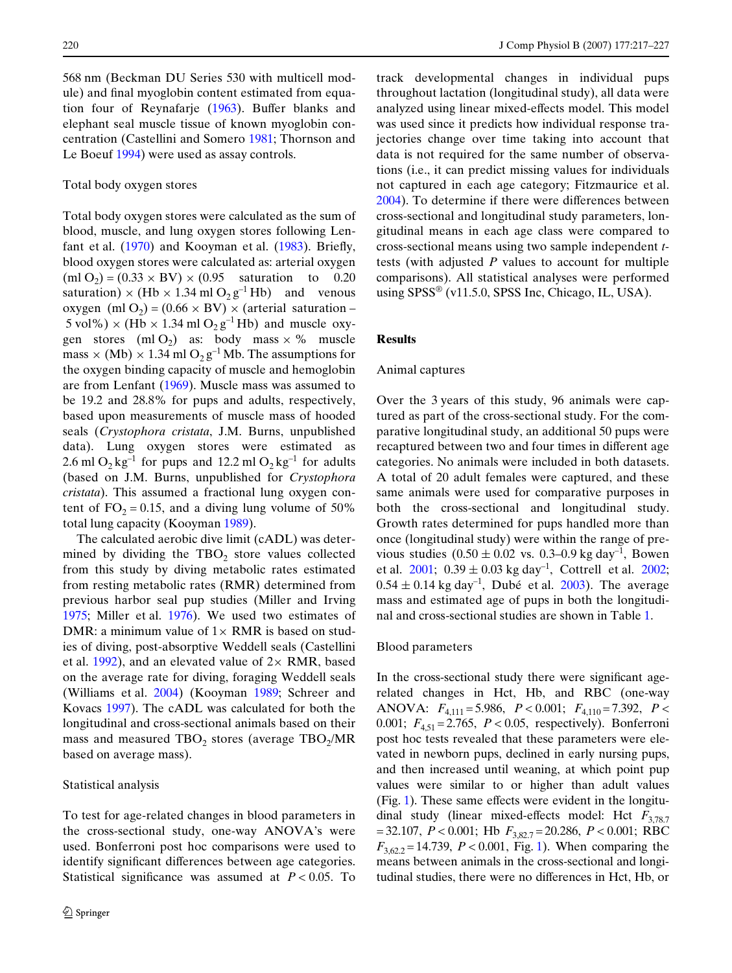568 nm (Beckman DU Series 530 with multicell module) and final myoglobin content estimated from equation four of Reynafarje  $(1963)$  $(1963)$ . Buffer blanks and elephant seal muscle tissue of known myoglobin concentration (Castellini and Somero [1981](#page-9-17); Thornson and Le Boeuf [1994](#page-10-1)) were used as assay controls.

#### Total body oxygen stores

Total body oxygen stores were calculated as the sum of blood, muscle, and lung oxygen stores following Lenfant et al.  $(1970)$  $(1970)$  and Kooyman et al.  $(1983)$  $(1983)$ . Briefly, blood oxygen stores were calculated as: arterial oxygen  $(ml O<sub>2</sub>) = (0.33 \times BV) \times (0.95$  saturation to 0.20 saturation)  $\times$  (Hb  $\times$  1.34 ml O<sub>2</sub> g<sup>-1</sup> Hb) and venous oxygen (ml O<sub>2</sub>) = (0.66  $\times$  BV)  $\times$  (arterial saturation –  $5 \text{ vol\%}$ )  $\times$  (Hb  $\times$  1.34 ml O<sub>2</sub> g<sup>-1</sup> Hb) and muscle oxygen stores  $(m1 O_2)$  as: body mass  $\times$  % muscle mass  $\times$  (Mb)  $\times$  1.34 ml O<sub>2</sub> g<sup>-1</sup> Mb. The assumptions for the oxygen binding capacity of muscle and hemoglobin are from Lenfant [\(1969](#page-10-17)). Muscle mass was assumed to be 19.2 and 28.8% for pups and adults, respectively, based upon measurements of muscle mass of hooded seals (*Crystophora cristata*, J.M. Burns, unpublished data). Lung oxygen stores were estimated as 2.6 ml  $O_2$  kg<sup>-1</sup> for pups and 12.2 ml  $O_2$  kg<sup>-1</sup> for adults (based on J.M. Burns, unpublished for *Crystophora cristata*). This assumed a fractional lung oxygen content of  $FO<sub>2</sub> = 0.15$ , and a diving lung volume of 50% total lung capacity (Kooyman [1989](#page-10-0)).

The calculated aerobic dive limit (cADL) was determined by dividing the  $TBO<sub>2</sub>$  store values collected from this study by diving metabolic rates estimated from resting metabolic rates (RMR) determined from previous harbor seal pup studies (Miller and Irving [1975](#page-10-18); Miller et al. [1976\)](#page-10-19). We used two estimates of DMR: a minimum value of  $1 \times$  RMR is based on studies of diving, post-absorptive Weddell seals (Castellini et al. [1992\)](#page-9-18), and an elevated value of  $2 \times$  RMR, based on the average rate for diving, foraging Weddell seals (Williams et al. [2004](#page-10-20)) (Kooyman [1989](#page-10-0); Schreer and Kovacs [1997](#page-10-6)). The cADL was calculated for both the longitudinal and cross-sectional animals based on their mass and measured TBO<sub>2</sub> stores (average TBO<sub>2</sub>/MR based on average mass).

## Statistical analysis

To test for age-related changes in blood parameters in the cross-sectional study, one-way ANOVA's were used. Bonferroni post hoc comparisons were used to identify significant differences between age categories. Statistical significance was assumed at  $P < 0.05$ . To track developmental changes in individual pups throughout lactation (longitudinal study), all data were analyzed using linear mixed-effects model. This model was used since it predicts how individual response trajectories change over time taking into account that data is not required for the same number of observations (i.e., it can predict missing values for individuals not captured in each age category; Fitzmaurice et al.  $2004$ ). To determine if there were differences between cross-sectional and longitudinal study parameters, longitudinal means in each age class were compared to cross-sectional means using two sample independent *t*tests (with adjusted *P* values to account for multiple comparisons). All statistical analyses were performed using SPSS<sup>®</sup> (v11.5.0, SPSS Inc, Chicago, IL, USA).

# **Results**

# Animal captures

Over the 3 years of this study, 96 animals were captured as part of the cross-sectional study. For the comparative longitudinal study, an additional 50 pups were recaptured between two and four times in different age categories. No animals were included in both datasets. A total of 20 adult females were captured, and these same animals were used for comparative purposes in both the cross-sectional and longitudinal study. Growth rates determined for pups handled more than once (longitudinal study) were within the range of previous studies  $(0.50 \pm 0.02 \text{ vs. } 0.3{-}0.9 \text{ kg day}^{-1}$ , Bowen et al.  $2001$ ;  $0.39 \pm 0.03$  kg day<sup>-1</sup>, Cottrell et al.  $2002$ ;  $0.54 \pm 0.14$  kg day<sup>-1</sup>, Dubé et al. [2003](#page-9-12)). The average mass and estimated age of pups in both the longitudinal and cross-sectional studies are shown in Table [1.](#page-4-0)

#### Blood parameters

In the cross-sectional study there were significant agerelated changes in Hct, Hb, and RBC (one-way ANOVA: *F*4,111 = 5.986, *P* < 0.001; *F*4,110 = 7.392, *P* < 0.001;  $F_{4.51} = 2.765$ ,  $P < 0.05$ , respectively). Bonferroni post hoc tests revealed that these parameters were elevated in newborn pups, declined in early nursing pups, and then increased until weaning, at which point pup values were similar to or higher than adult values  $(Fig. 1)$  $(Fig. 1)$  $(Fig. 1)$ . These same effects were evident in the longitudinal study (linear mixed-effects model: Hct  $F_{3,78,7}$  $= 32.107, P < 0.001$ ; Hb  $F_{3.82.7} = 20.286, P < 0.001$ ; RBC  $F_{3,62,2} = 14.739$  $F_{3,62,2} = 14.739$  $F_{3,62,2} = 14.739$ ,  $P < 0.001$ , Fig. 1). When comparing the means between animals in the cross-sectional and longitudinal studies, there were no differences in Hct, Hb, or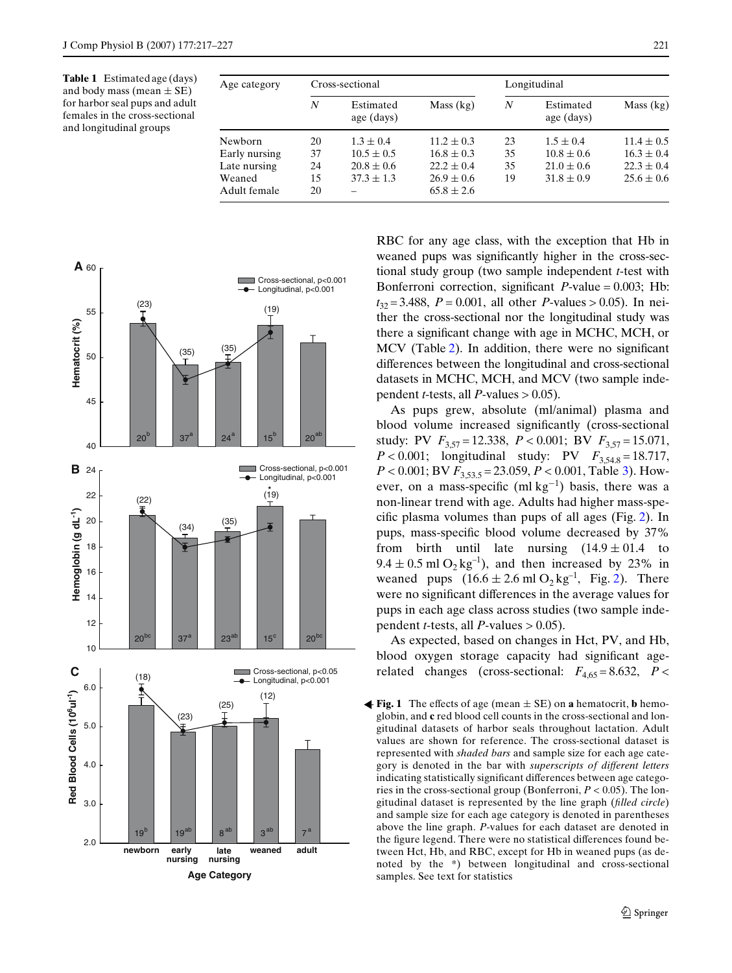<span id="page-4-0"></span>**Table 1** Estimated age (days) and body mass (mean  $\pm$  SE) for harbor seal pups and adult females in the cross-sectional and longitudinal groups

| Age category  |    | Cross-sectional         |                | Longitudinal |                         |                |  |  |
|---------------|----|-------------------------|----------------|--------------|-------------------------|----------------|--|--|
|               | N  | Estimated<br>age (days) | Mass (kg)      | N            | Estimated<br>age (days) | Mass (kg)      |  |  |
| Newborn       | 20 | $1.3 \pm 0.4$           | $11.2 \pm 0.3$ | 23           | $1.5 \pm 0.4$           | $11.4 \pm 0.5$ |  |  |
| Early nursing | 37 | $10.5 \pm 0.5$          | $16.8 \pm 0.3$ | 35           | $10.8 \pm 0.6$          | $16.3 \pm 0.4$ |  |  |
| Late nursing  | 24 | $20.8 \pm 0.6$          | $22.2 \pm 0.4$ | 35           | $21.0 \pm 0.6$          | $22.3 \pm 0.4$ |  |  |
| Weaned        | 15 | $37.3 \pm 1.3$          | $26.9 \pm 0.6$ | 19           | $31.8 \pm 0.9$          | $25.6 \pm 0.6$ |  |  |
| Adult female  | 20 |                         | $65.8 \pm 2.6$ |              |                         |                |  |  |



RBC for any age class, with the exception that Hb in weaned pups was significantly higher in the cross-sectional study group (two sample independent *t*-test with Bonferroni correction, significant  $P$ -value = 0.003; Hb:  $t_{32} = 3.488$ ,  $P = 0.001$ , all other *P*-values > 0.05). In neither the cross-sectional nor the longitudinal study was there a significant change with age in MCHC, MCH, or MCV (Table  $2$ ). In addition, there were no significant differences between the longitudinal and cross-sectional datasets in MCHC, MCH, and MCV (two sample independent *t*-tests, all *P*-values  $> 0.05$ ).

As pups grew, absolute (ml/animal) plasma and blood volume increased significantly (cross-sectional study: PV  $F_{3,57} = 12.338$ ,  $P < 0.001$ ; BV  $F_{3,57} = 15.071$ , *P* < 0.001; longitudinal study: PV  $F_{3.54.8} = 18.717$ , *P* < 0.001; BV  $F_{3,53,5}$  $F_{3,53,5}$  $F_{3,53,5}$  = 23.059, *P* < 0.001, Table 3). However, on a mass-specific  $(ml kg<sup>-1</sup>)$  basis, there was a non-linear trend with age. Adults had higher mass-spe-cific plasma volumes than pups of all ages (Fig. [2\)](#page-6-0). In pups, mass-specific blood volume decreased by 37% from birth until late nursing  $(14.9 \pm 01.4)$  to  $9.4 \pm 0.5$  ml O<sub>2</sub> kg<sup>-1</sup>), and then increased by 23% in weaned pups  $(16.6 \pm 2.6 \text{ ml O}_2 \text{ kg}^{-1}$ , Fig. [2\)](#page-6-0). There were no significant differences in the average values for pups in each age class across studies (two sample independent *t*-tests, all *P*-values  $> 0.05$ ).

As expected, based on changes in Hct, PV, and Hb, blood oxygen storage capacity had significant agerelated changes (cross-sectional:  $F_{4,65} = 8.632$ ,  $P <$ 

<span id="page-4-1"></span>**Fig. 1** The effects of age (mean  $\pm$  SE) on **a** hematocrit, **b** hemoglobin, and **c** red blood cell counts in the cross-sectional and longitudinal datasets of harbor seals throughout lactation. Adult values are shown for reference. The cross-sectional dataset is represented with *shaded bars* and sample size for each age category is denoted in the bar with *superscripts of different letters* indicating statistically significant differences between age categories in the cross-sectional group (Bonferroni, *P* < 0.05). The longitudinal dataset is represented by the line graph (*filled circle*) and sample size for each age category is denoted in parentheses above the line graph. *P*-values for each dataset are denoted in the figure legend. There were no statistical differences found between Hct, Hb, and RBC, except for Hb in weaned pups (as denoted by the \*) between longitudinal and cross-sectional samples. See text for statistics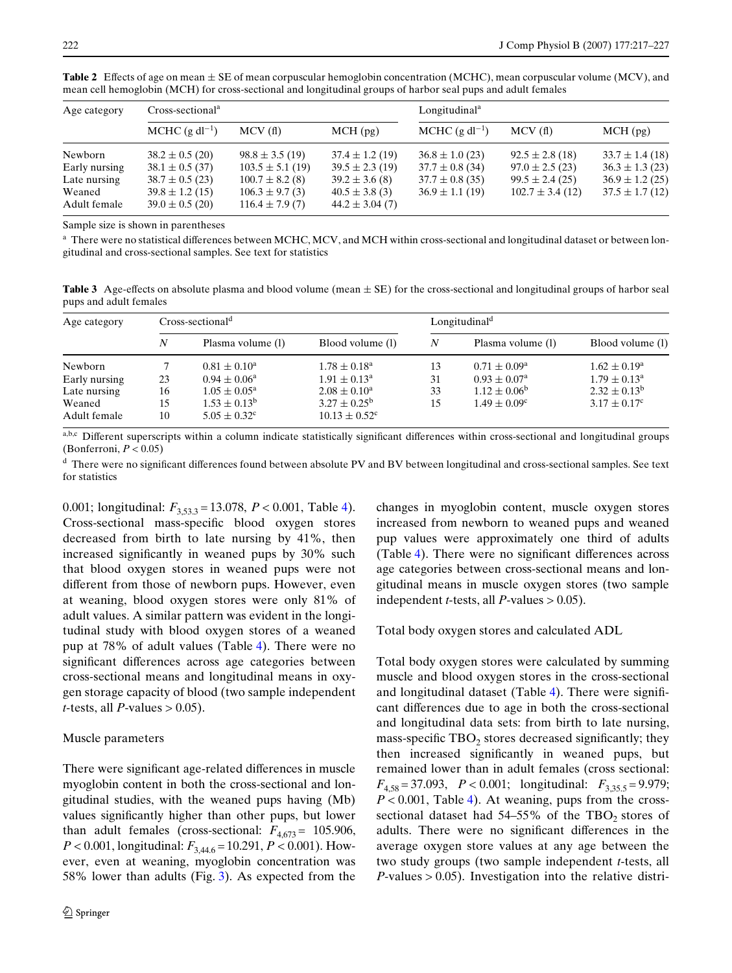| Age category           | $Cross-sectionala$                         |                                           |                                          | Longitudinal <sup>a</sup> |                     |                     |  |  |
|------------------------|--------------------------------------------|-------------------------------------------|------------------------------------------|---------------------------|---------------------|---------------------|--|--|
|                        | MCHC $(g \, dl^{-1})$                      | MCV(f)                                    | MCH(pg)                                  | MCHC $(g \, dl^{-1})$     | MCV(f)              | MCH(pg)             |  |  |
| Newborn                | $38.2 \pm 0.5$ (20)                        | $98.8 \pm 3.5(19)$                        | $37.4 \pm 1.2$ (19)                      | $36.8 \pm 1.0$ (23)       | $92.5 \pm 2.8$ (18) | $33.7 \pm 1.4$ (18) |  |  |
| Early nursing          | $38.1 \pm 0.5$ (37)                        | $103.5 \pm 5.1(19)$                       | $39.5 \pm 2.3(19)$                       | $37.7 \pm 0.8$ (34)       | $97.0 \pm 2.5(23)$  | $36.3 \pm 1.3$ (23) |  |  |
| Late nursing           | $38.7 \pm 0.5$ (23)                        | $100.7 \pm 8.2$ (8)                       | $39.2 \pm 3.6$ (8)                       | $37.7 \pm 0.8$ (35)       | $99.5 \pm 2.4(25)$  | $36.9 \pm 1.2$ (25) |  |  |
| Weaned<br>Adult female | $39.8 \pm 1.2$ (15)<br>$39.0 \pm 0.5$ (20) | $106.3 \pm 9.7$ (3)<br>$116.4 \pm 7.9(7)$ | $40.5 \pm 3.8$ (3)<br>$44.2 \pm 3.04(7)$ | $36.9 \pm 1.1(19)$        | $102.7 \pm 3.4(12)$ | $37.5 \pm 1.7(12)$  |  |  |

<span id="page-5-0"></span>**Table 2** Effects of age on mean  $\pm$  SE of mean corpuscular hemoglobin concentration (MCHC), mean corpuscular volume (MCV), and mean cell hemoglobin (MCH) for cross-sectional and longitudinal groups of harbor seal pups and adult females

Sample size is shown in parentheses

 $^{\rm a}$  There were no statistical differences between MCHC, MCV, and MCH within cross-sectional and longitudinal dataset or between longitudinal and cross-sectional samples. See text for statistics

<span id="page-5-1"></span>**Table 3** Age-effects on absolute plasma and blood volume (mean  $\pm$  SE) for the cross-sectional and longitudinal groups of harbor seal pups and adult females

| Age category           |          | $Cross\text{-}sectionald$              |                                                          |    | Longitudinal <sup>d</sup> |                         |  |  |  |  |
|------------------------|----------|----------------------------------------|----------------------------------------------------------|----|---------------------------|-------------------------|--|--|--|--|
|                        | N        | Plasma volume (1)                      | Blood volume (1)                                         | N  | Plasma volume (1)         | Blood volume (1)        |  |  |  |  |
| Newborn                |          | $0.81 \pm 0.10^a$                      | $1.78 \pm 0.18^{\text{a}}$                               | 13 | $0.71 \pm 0.09^{\rm a}$   | $1.62 \pm 0.19^{\rm a}$ |  |  |  |  |
| Early nursing          | 23       | $0.94 \pm 0.06^{\circ}$                | $1.91 \pm 0.13^{\text{a}}$                               | 31 | $0.93 \pm 0.07^{\rm a}$   | $1.79 \pm 0.13^{\circ}$ |  |  |  |  |
| Late nursing           | 16       | $1.05 \pm 0.05^{\rm a}$                | $2.08 \pm 0.10^a$                                        | 33 | $1.12 \pm 0.06^b$         | $2.32 \pm 0.13^b$       |  |  |  |  |
| Weaned<br>Adult female | 15<br>10 | $1.53 \pm 0.13^b$<br>$5.05 \pm 0.32^c$ | $3.27 \pm 0.25^{\rm b}$<br>$10.13 \pm 0.52$ <sup>c</sup> | 15 | $1.49 \pm 0.09^c$         | $3.17 \pm 0.17^c$       |  |  |  |  |

a,b,c Different superscripts within a column indicate statistically significant differences within cross-sectional and longitudinal groups (Bonferroni, *P* < 0.05)

 $d$  There were no significant differences found between absolute PV and BV between longitudinal and cross-sectional samples. See text for statistics

0.001; longitudinal:  $F_{3,53,3} = 13.078$ ,  $P < 0.001$ , Table [4\)](#page-7-0). Cross-sectional mass-specific blood oxygen stores decreased from birth to late nursing by 41%, then increased significantly in weaned pups by 30% such that blood oxygen stores in weaned pups were not different from those of newborn pups. However, even at weaning, blood oxygen stores were only 81% of adult values. A similar pattern was evident in the longitudinal study with blood oxygen stores of a weaned pup at 78% of adult values (Table [4](#page-7-0)). There were no significant differences across age categories between cross-sectional means and longitudinal means in oxygen storage capacity of blood (two sample independent *t*-tests, all *P*-values  $> 0.05$ ).

# Muscle parameters

There were significant age-related differences in muscle myoglobin content in both the cross-sectional and longitudinal studies, with the weaned pups having (Mb) values significantly higher than other pups, but lower than adult females (cross-sectional:  $F_{4,673} = 105.906$ ,  $P < 0.001$ , longitudinal:  $F_{3,44.6} = 10.291$ ,  $P < 0.001$ ). However, even at weaning, myoglobin concentration was 58% lower than adults (Fig. [3\)](#page-7-1). As expected from the changes in myoglobin content, muscle oxygen stores increased from newborn to weaned pups and weaned pup values were approximately one third of adults (Table [4](#page-7-0)). There were no significant differences across age categories between cross-sectional means and longitudinal means in muscle oxygen stores (two sample independent *t*-tests, all *P*-values  $> 0.05$ ).

Total body oxygen stores and calculated ADL

Total body oxygen stores were calculated by summing muscle and blood oxygen stores in the cross-sectional and longitudinal dataset (Table  $4$ ). There were significant differences due to age in both the cross-sectional and longitudinal data sets: from birth to late nursing, mass-specific  $TBO<sub>2</sub>$  stores decreased significantly; they then increased significantly in weaned pups, but remained lower than in adult females (cross sectional: *F*4,58 = 37.093, *P* < 0.001; longitudinal: *F*3,35.5 = 9.979;  $P < 0.001$ , Table [4](#page-7-0)). At weaning, pups from the crosssectional dataset had  $54-55\%$  of the TBO<sub>2</sub> stores of adults. There were no significant differences in the average oxygen store values at any age between the two study groups (two sample independent *t*-tests, all  $P$ -values  $> 0.05$ ). Investigation into the relative distri-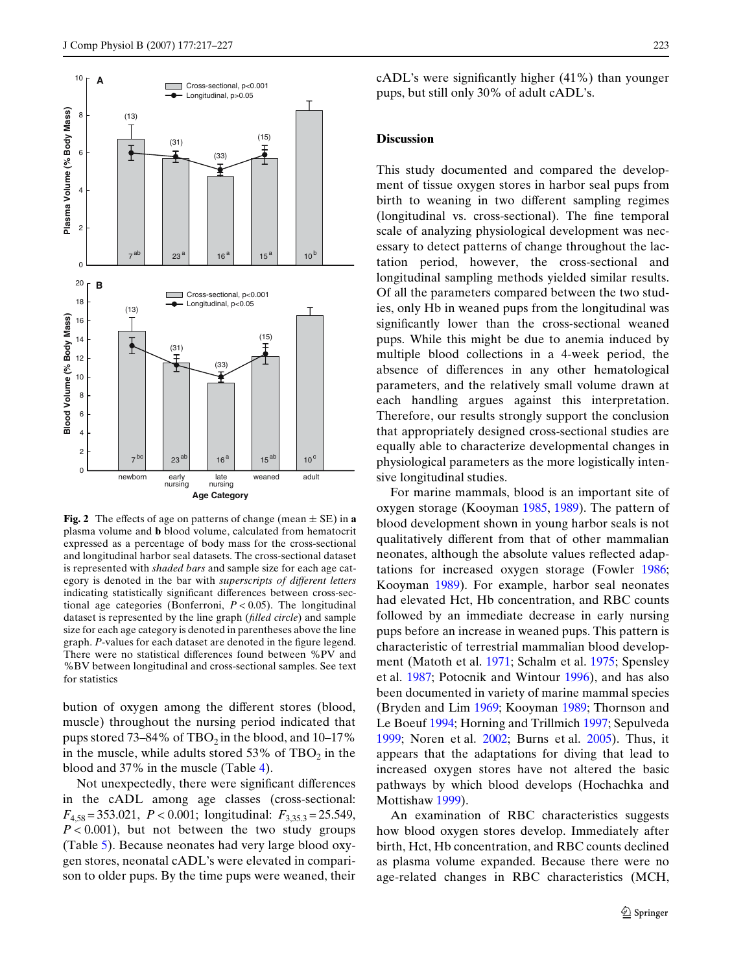

<span id="page-6-0"></span>**Fig. 2** The effects of age on patterns of change (mean  $\pm$  SE) in **a** plasma volume and **b** blood volume, calculated from hematocrit expressed as a percentage of body mass for the cross-sectional and longitudinal harbor seal datasets. The cross-sectional dataset is represented with *shaded bars* and sample size for each age category is denoted in the bar with *superscripts of different letters* indicating statistically significant differences between cross-sectional age categories (Bonferroni, *P* < 0.05). The longitudinal dataset is represented by the line graph (*filled circle*) and sample size for each age category is denoted in parentheses above the line graph. P-values for each dataset are denoted in the figure legend. There were no statistical differences found between %PV and %BV between longitudinal and cross-sectional samples. See text for statistics

bution of oxygen among the different stores (blood, muscle) throughout the nursing period indicated that pups stored 73–84% of  $TBO<sub>2</sub>$  in the blood, and 10–17% in the muscle, while adults stored  $53\%$  of TBO<sub>2</sub> in the blood and 37% in the muscle (Table [4\)](#page-7-0).

Not unexpectedly, there were significant differences in the cADL among age classes (cross-sectional: *F*4,58 = 353.021, *P* < 0.001; longitudinal: *F*3,35.3 = 25.549,  $P < 0.001$ ), but not between the two study groups (Table [5](#page-8-0)). Because neonates had very large blood oxygen stores, neonatal cADL's were elevated in comparison to older pups. By the time pups were weaned, their  $cADL$ 's were significantly higher  $(41\%)$  than younger pups, but still only 30% of adult cADL's.

# **Discussion**

This study documented and compared the development of tissue oxygen stores in harbor seal pups from birth to weaning in two different sampling regimes (longitudinal vs. cross-sectional). The fine temporal scale of analyzing physiological development was necessary to detect patterns of change throughout the lactation period, however, the cross-sectional and longitudinal sampling methods yielded similar results. Of all the parameters compared between the two studies, only Hb in weaned pups from the longitudinal was significantly lower than the cross-sectional weaned pups. While this might be due to anemia induced by multiple blood collections in a 4-week period, the absence of differences in any other hematological parameters, and the relatively small volume drawn at each handling argues against this interpretation. Therefore, our results strongly support the conclusion that appropriately designed cross-sectional studies are equally able to characterize developmental changes in physiological parameters as the more logistically intensive longitudinal studies.

For marine mammals, blood is an important site of oxygen storage (Kooyman [1985](#page-10-21), [1989\)](#page-10-0). The pattern of blood development shown in young harbor seals is not qualitatively different from that of other mammalian neonates, although the absolute values reflected adaptations for increased oxygen storage (Fowler [1986;](#page-9-22) Kooyman [1989\)](#page-10-0). For example, harbor seal neonates had elevated Hct, Hb concentration, and RBC counts followed by an immediate decrease in early nursing pups before an increase in weaned pups. This pattern is characteristic of terrestrial mammalian blood development (Matoth et al. [1971](#page-10-22); Schalm et al. [1975](#page-10-23); Spensley et al. [1987;](#page-10-24) Potocnik and Wintour [1996](#page-10-25)), and has also been documented in variety of marine mammal species (Bryden and Lim [1969;](#page-9-23) Kooyman [1989](#page-10-0); Thornson and Le Boeuf [1994](#page-10-1); Horning and Trillmich [1997](#page-10-11); Sepulveda [1999](#page-10-10); Noren et al. [2002;](#page-10-26) Burns et al. [2005\)](#page-9-7). Thus, it appears that the adaptations for diving that lead to increased oxygen stores have not altered the basic pathways by which blood develops (Hochachka and Mottishaw [1999\)](#page-10-27).

An examination of RBC characteristics suggests how blood oxygen stores develop. Immediately after birth, Hct, Hb concentration, and RBC counts declined as plasma volume expanded. Because there were no age-related changes in RBC characteristics (MCH,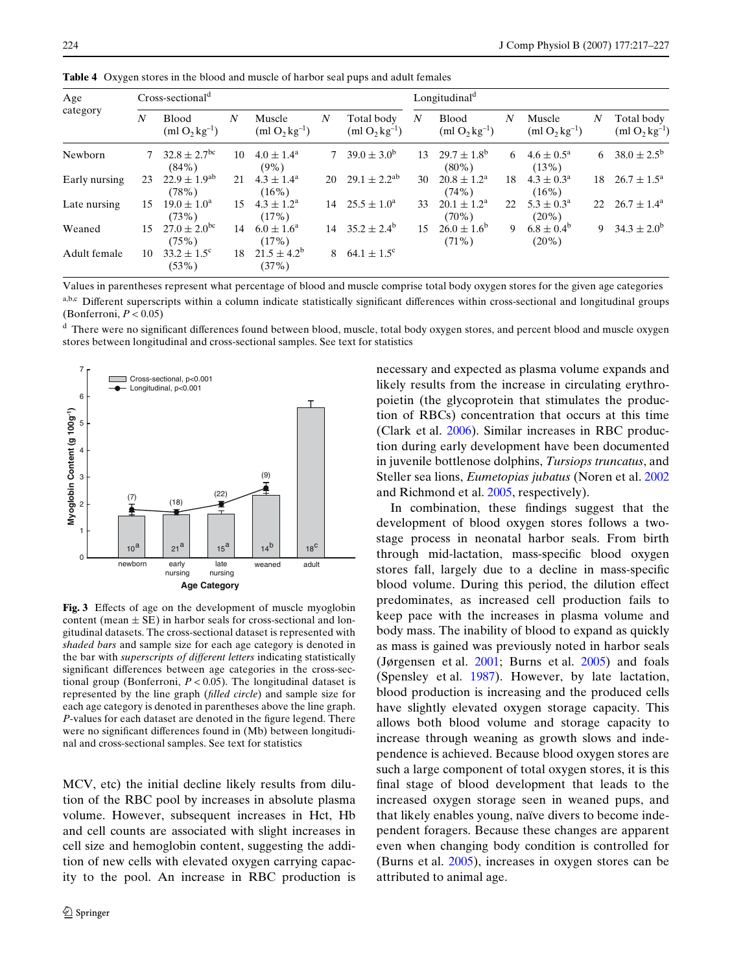| Age<br>category | $Cross-sectionald$ |                                          |    |                                   |    |                                  |    | Longitudinal <sup>d</sup>          |    |                                   |    |                                  |  |
|-----------------|--------------------|------------------------------------------|----|-----------------------------------|----|----------------------------------|----|------------------------------------|----|-----------------------------------|----|----------------------------------|--|
|                 | $\boldsymbol{N}$   | <b>Blood</b><br>$(m1 O_2 kg^{-1})$       | N  | Muscle<br>$(m1 O_2 kg^{-1})$      | N  | Total body<br>$(m1 O_2 kg^{-1})$ | N  | <b>Blood</b><br>$(m1 O_2 kg^{-1})$ | N  | Muscle<br>$(m1 O_2 kg^{-1})$      | N  | Total body<br>$(m1 O_2 kg^{-1})$ |  |
| Newborn         |                    | $32.8 \pm 2.7$ <sup>bc</sup><br>$(84\%)$ | 10 | $4.0 \pm 1.4^{\circ}$<br>$(9\%)$  |    | $39.0 \pm 3.0^{\rm b}$           | 13 | $29.7 \pm 1.8^{\rm b}$<br>$(80\%)$ | 6  | $4.6 \pm 0.5^{\circ}$<br>(13%)    | 6  | $38.0 \pm 2.5^{\rm b}$           |  |
| Early nursing   | 23                 | $22.9 \pm 1.9^{ab}$<br>(78%)             | 21 | $4.3 \pm 1.4^{\circ}$<br>$(16\%)$ | 20 | $29.1 \pm 2.2^{ab}$              | 30 | $20.8 \pm 1.2^{\circ}$<br>(74%)    | 18 | $4.3 \pm 0.3^{\rm a}$<br>$(16\%)$ | 18 | $26.7 \pm 1.5^{\circ}$           |  |
| Late nursing    | 15                 | $19.0 \pm 1.0^{\circ}$<br>(73%)          | 15 | $4.3 \pm 1.2^{\rm a}$<br>(17%)    | 14 | $25.5 \pm 1.0^{\circ}$           | 33 | $20.1 \pm 1.2^{\rm a}$<br>$(70\%)$ | 22 | $5.3 \pm 0.3^{\circ}$<br>$(20\%)$ | 22 | $26.7 \pm 1.4^{\circ}$           |  |
| Weaned          | 15                 | $27.0 \pm 2.0^{bc}$<br>(75%)             | 14 | $6.0 \pm 1.6^{\circ}$<br>(17%)    | 14 | $35.2 \pm 2.4^{\circ}$           | 15 | $26.0 \pm 1.6^b$<br>$(71\%)$       | 9  | $6.8 \pm 0.4^{\rm b}$<br>$(20\%)$ | 9  | $34.3 \pm 2.0^{\rm b}$           |  |
| Adult female    | 10                 | $33.2 \pm 1.5^{\circ}$<br>(53%)          | 18 | $21.5 \pm 4.2^b$<br>(37%)         | 8  | $64.1 \pm 1.5^{\circ}$           |    |                                    |    |                                   |    |                                  |  |

<span id="page-7-0"></span>**Table 4** Oxygen stores in the blood and muscle of harbor seal pups and adult females

Values in parentheses represent what percentage of blood and muscle comprise total body oxygen stores for the given age categories a,b,c Different superscripts within a column indicate statistically significant differences within cross-sectional and longitudinal groups (Bonferroni, *P* < 0.05)

<sup>d</sup> There were no significant differences found between blood, muscle, total body oxygen stores, and percent blood and muscle oxygen stores between longitudinal and cross-sectional samples. See text for statistics



<span id="page-7-1"></span>Fig. 3 Effects of age on the development of muscle myoglobin content (mean  $\pm$  SE) in harbor seals for cross-sectional and longitudinal datasets. The cross-sectional dataset is represented with *shaded bars* and sample size for each age category is denoted in the bar with *superscripts of different letters* indicating statistically significant differences between age categories in the cross-sectional group (Bonferroni,  $P < 0.05$ ). The longitudinal dataset is represented by the line graph (*filled circle*) and sample size for each age category is denoted in parentheses above the line graph. *P*-values for each dataset are denoted in the figure legend. There were no significant differences found in (Mb) between longitudinal and cross-sectional samples. See text for statistics

MCV, etc) the initial decline likely results from dilution of the RBC pool by increases in absolute plasma volume. However, subsequent increases in Hct, Hb and cell counts are associated with slight increases in cell size and hemoglobin content, suggesting the addition of new cells with elevated oxygen carrying capacity to the pool. An increase in RBC production is necessary and expected as plasma volume expands and likely results from the increase in circulating erythropoietin (the glycoprotein that stimulates the production of RBCs) concentration that occurs at this time (Clark et al. [2006](#page-9-24)). Similar increases in RBC production during early development have been documented in juvenile bottlenose dolphins, *Tursiops truncatus*, and Steller sea lions, *Eumetopias jubatus* (Noren et al. [2002](#page-10-26) and Richmond et al. [2005,](#page-10-28) respectively).

In combination, these findings suggest that the development of blood oxygen stores follows a twostage process in neonatal harbor seals. From birth through mid-lactation, mass-specific blood oxygen stores fall, largely due to a decline in mass-specific blood volume. During this period, the dilution effect predominates, as increased cell production fails to keep pace with the increases in plasma volume and body mass. The inability of blood to expand as quickly as mass is gained was previously noted in harbor seals (Jørgensen et al. [2001](#page-10-2); Burns et al. [2005\)](#page-9-7) and foals (Spensley et al. [1987\)](#page-10-24). However, by late lactation, blood production is increasing and the produced cells have slightly elevated oxygen storage capacity. This allows both blood volume and storage capacity to increase through weaning as growth slows and independence is achieved. Because blood oxygen stores are such a large component of total oxygen stores, it is this final stage of blood development that leads to the increased oxygen storage seen in weaned pups, and that likely enables young, naïve divers to become independent foragers. Because these changes are apparent even when changing body condition is controlled for (Burns et al. [2005\)](#page-9-7), increases in oxygen stores can be attributed to animal age.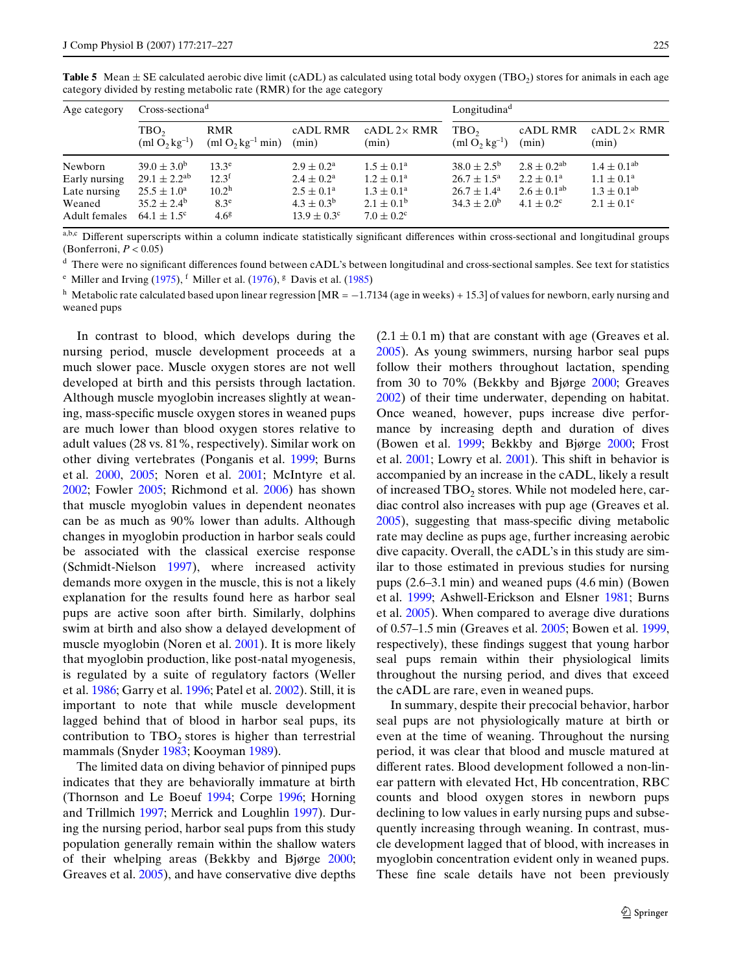<span id="page-8-0"></span>**Table 5** Mean  $\pm$  SE calculated aerobic dive limit (cADL) as calculated using total body oxygen (TBO<sub>2</sub>) stores for animals in each age category divided by resting metabolic rate (RMR) for the age category

| Age category                                                        | $Cross\text{-}sectiona^d$                                                                                                   |                                                                                         |                                                                                                                      | Longitudina <sup>d</sup>                                                                                                  |                                                                                                |                                                                                               |                                                                                            |
|---------------------------------------------------------------------|-----------------------------------------------------------------------------------------------------------------------------|-----------------------------------------------------------------------------------------|----------------------------------------------------------------------------------------------------------------------|---------------------------------------------------------------------------------------------------------------------------|------------------------------------------------------------------------------------------------|-----------------------------------------------------------------------------------------------|--------------------------------------------------------------------------------------------|
|                                                                     | TBO <sub>2</sub><br>$(m1 O2 kg-1)$                                                                                          | <b>RMR</b><br>$(ml O2 kg-1 min)$                                                        | cADL RMR<br>(min)                                                                                                    | $cADL$ 2 $\times$ RMR<br>(min)                                                                                            | TBO <sub>2</sub><br>$(m1 O_2 kg^{-1})$                                                         | cADL RMR<br>(min)                                                                             | $cADL2\times RMR$<br>(min)                                                                 |
| Newborn<br>Early nursing<br>Late nursing<br>Weaned<br>Adult females | $39.0 \pm 3.0^{\rm b}$<br>$29.1 \pm 2.2^{ab}$<br>$25.5 \pm 1.0^{\circ}$<br>$35.2 \pm 2.4^{\rm b}$<br>$64.1 \pm 1.5^{\circ}$ | $13.3^e$<br>$12.3^{\text{f}}$<br>10.2 <sup>h</sup><br>8.3 <sup>e</sup><br>$4.6^{\circ}$ | $2.9 \pm 0.2^{\rm a}$<br>$2.4 \pm 0.2^{\rm a}$<br>$2.5 \pm 0.1^{\circ}$<br>$4.3 \pm 0.3^b$<br>$13.9 \pm 0.3^{\circ}$ | $1.5 \pm 0.1^{\circ}$<br>$1.2 \pm 0.1^{\rm a}$<br>$1.3 \pm 0.1^{\circ}$<br>$2.1 \pm 0.1^{\rm b}$<br>$7.0 \pm 0.2^{\circ}$ | $38.0 \pm 2.5^{\rm b}$<br>$26.7 \pm 1.5^{\circ}$<br>$26.7 \pm 1.4^{\circ}$<br>$34.3 \pm 2.0^b$ | $2.8 \pm 0.2$ <sup>ab</sup><br>$2.2 \pm 0.1^{\circ}$<br>$2.6 \pm 0.1^{ab}$<br>$4.1 \pm 0.2^c$ | $1.4 \pm 0.1^{ab}$<br>$1.1 \pm 0.1^{\rm a}$<br>$1.3 \pm 0.1^{ab}$<br>$2.1 \pm 0.1^{\circ}$ |

a,b,c Different superscripts within a column indicate statistically significant differences within cross-sectional and longitudinal groups (Bonferroni, *P* < 0.05)

<sup>d</sup> There were no significant differences found between cADL's between longitudinal and cross-sectional samples. See text for statistics

<sup>e</sup> Miller and Irving [\(1975](#page-10-18)), <sup>f</sup> Miller et al. ([1976\)](#page-10-19), <sup>g</sup> Davis et al. [\(1985](#page-9-34))

<sup>h</sup> Metabolic rate calculated based upon linear regression [MR =  $-1.7134$  (age in weeks) + 15.3] of values for newborn, early nursing and weaned pups

In contrast to blood, which develops during the nursing period, muscle development proceeds at a much slower pace. Muscle oxygen stores are not well developed at birth and this persists through lactation. Although muscle myoglobin increases slightly at weaning, mass-specific muscle oxygen stores in weaned pups are much lower than blood oxygen stores relative to adult values (28 vs. 81%, respectively). Similar work on other diving vertebrates (Ponganis et al. [1999](#page-10-29); Burns et al. [2000,](#page-9-25) [2005;](#page-9-7) Noren et al. [2001;](#page-10-13) McIntyre et al. [2002](#page-10-30); Fowler [2005;](#page-9-26) Richmond et al. [2006\)](#page-10-12) has shown that muscle myoglobin values in dependent neonates can be as much as 90% lower than adults. Although changes in myoglobin production in harbor seals could be associated with the classical exercise response (Schmidt-Nielson [1997](#page-10-31)), where increased activity demands more oxygen in the muscle, this is not a likely explanation for the results found here as harbor seal pups are active soon after birth. Similarly, dolphins swim at birth and also show a delayed development of muscle myoglobin (Noren et al. [2001](#page-10-13)). It is more likely that myoglobin production, like post-natal myogenesis, is regulated by a suite of regulatory factors (Weller et al. [1986](#page-10-32); Garry et al. [1996;](#page-9-27) Patel et al. [2002](#page-10-33)). Still, it is important to note that while muscle development lagged behind that of blood in harbor seal pups, its contribution to  $TBO<sub>2</sub>$  stores is higher than terrestrial mammals (Snyder [1983](#page-10-5); Kooyman [1989](#page-10-0)).

The limited data on diving behavior of pinniped pups indicates that they are behaviorally immature at birth (Thornson and Le Boeuf [1994](#page-10-1); Corpe [1996](#page-9-28); Horning and Trillmich [1997](#page-10-11); Merrick and Loughlin [1997\)](#page-10-34). During the nursing period, harbor seal pups from this study population generally remain within the shallow waters of their whelping areas (Bekkby and Bjørge [2000;](#page-9-29) Greaves et al. [2005\)](#page-9-11), and have conservative dive depths  $(2.1 \pm 0.1 \text{ m})$  that are constant with age (Greaves et al. [2005](#page-9-11)). As young swimmers, nursing harbor seal pups follow their mothers throughout lactation, spending from 30 to 70% (Bekkby and Bjørge [2000](#page-9-29); Greaves [2002](#page-9-30)) of their time underwater, depending on habitat. Once weaned, however, pups increase dive performance by increasing depth and duration of dives (Bowen et al. [1999;](#page-9-31) Bekkby and Bjørge [2000;](#page-9-29) Frost et al. [2001](#page-9-32); Lowry et al. [2001](#page-10-35)). This shift in behavior is accompanied by an increase in the cADL, likely a result of increased  $TBO<sub>2</sub>$  stores. While not modeled here, cardiac control also increases with pup age (Greaves et al.  $2005$ ), suggesting that mass-specific diving metabolic rate may decline as pups age, further increasing aerobic dive capacity. Overall, the cADL's in this study are similar to those estimated in previous studies for nursing pups (2.6–3.1 min) and weaned pups (4.6 min) (Bowen et al. [1999](#page-9-31); Ashwell-Erickson and Elsner [1981;](#page-9-33) Burns et al. [2005\)](#page-9-7). When compared to average dive durations of 0.57–1.5 min (Greaves et al. [2005](#page-9-11); Bowen et al. [1999,](#page-9-31) respectively), these findings suggest that young harbor seal pups remain within their physiological limits throughout the nursing period, and dives that exceed the cADL are rare, even in weaned pups.

In summary, despite their precocial behavior, harbor seal pups are not physiologically mature at birth or even at the time of weaning. Throughout the nursing period, it was clear that blood and muscle matured at different rates. Blood development followed a non-linear pattern with elevated Hct, Hb concentration, RBC counts and blood oxygen stores in newborn pups declining to low values in early nursing pups and subsequently increasing through weaning. In contrast, muscle development lagged that of blood, with increases in myoglobin concentration evident only in weaned pups. These fine scale details have not been previously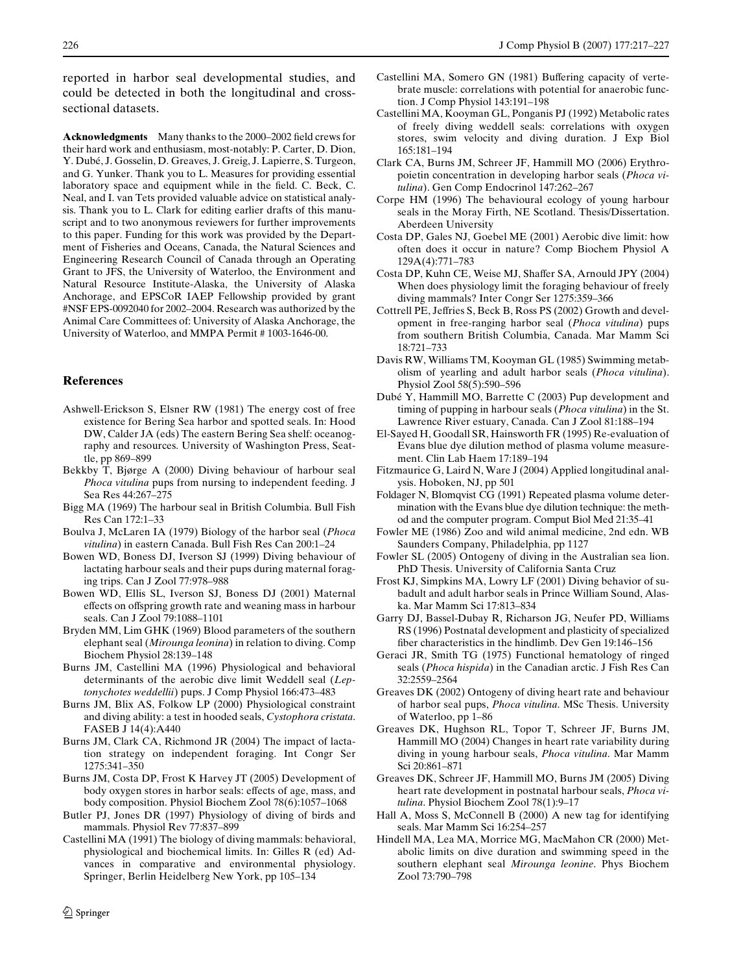reported in harbor seal developmental studies, and could be detected in both the longitudinal and crosssectional datasets.

**Acknowledgments** Many thanks to the 2000–2002 field crews for their hard work and enthusiasm, most-notably: P. Carter, D. Dion, Y. Dubé, J. Gosselin, D. Greaves, J. Greig, J. Lapierre, S. Turgeon, and G. Yunker. Thank you to L. Measures for providing essential laboratory space and equipment while in the field. C. Beck, C. Neal, and I. van Tets provided valuable advice on statistical analysis. Thank you to L. Clark for editing earlier drafts of this manuscript and to two anonymous reviewers for further improvements to this paper. Funding for this work was provided by the Department of Fisheries and Oceans, Canada, the Natural Sciences and Engineering Research Council of Canada through an Operating Grant to JFS, the University of Waterloo, the Environment and Natural Resource Institute-Alaska, the University of Alaska Anchorage, and EPSCoR IAEP Fellowship provided by grant #NSF EPS-0092040 for 2002–2004. Research was authorized by the Animal Care Committees of: University of Alaska Anchorage, the University of Waterloo, and MMPA Permit # 1003-1646-00.

# **References**

- <span id="page-9-33"></span>Ashwell-Erickson S, Elsner RW (1981) The energy cost of free existence for Bering Sea harbor and spotted seals. In: Hood DW, Calder JA (eds) The eastern Bering Sea shelf: oceanography and resources. University of Washington Press, Seattle, pp 869–899
- <span id="page-9-29"></span>Bekkby T, Bjørge A (2000) Diving behaviour of harbour seal *Phoca vitulina* pups from nursing to independent feeding. J Sea Res 44:267–275
- <span id="page-9-8"></span>Bigg MA (1969) The harbour seal in British Columbia. Bull Fish Res Can 172:1–33
- <span id="page-9-9"></span>Boulva J, McLaren IA (1979) Biology of the harbor seal (*Phoca vitulina*) in eastern Canada. Bull Fish Res Can 200:1–24
- <span id="page-9-31"></span>Bowen WD, Boness DJ, Iverson SJ (1999) Diving behaviour of lactating harbour seals and their pups during maternal foraging trips. Can J Zool 77:978–988
- <span id="page-9-20"></span>Bowen WD, Ellis SL, Iverson SJ, Boness DJ (2001) Maternal effects on offspring growth rate and weaning mass in harbour seals. Can J Zool 79:1088–1101
- <span id="page-9-23"></span>Bryden MM, Lim GHK (1969) Blood parameters of the southern elephant seal (*Mirounga leonina*) in relation to diving. Comp Biochem Physiol 28:139–148
- <span id="page-9-5"></span>Burns JM, Castellini MA (1996) Physiological and behavioral determinants of the aerobic dive limit Weddell seal (*Leptonychotes weddellii*) pups. J Comp Physiol 166:473–483
- <span id="page-9-25"></span>Burns JM, Blix AS, Folkow LP (2000) Physiological constraint and diving ability: a test in hooded seals, *Cystophora cristata*. FASEB J 14(4):A440
- <span id="page-9-6"></span>Burns JM, Clark CA, Richmond JR (2004) The impact of lactation strategy on independent foraging. Int Congr Ser 1275:341–350
- <span id="page-9-7"></span>Burns JM, Costa DP, Frost K Harvey JT (2005) Development of body oxygen stores in harbor seals: effects of age, mass, and body composition. Physiol Biochem Zool 78(6):1057–1068
- <span id="page-9-2"></span>Butler PJ, Jones DR (1997) Physiology of diving of birds and mammals. Physiol Rev 77:837–899
- <span id="page-9-1"></span>Castellini MA (1991) The biology of diving mammals: behavioral, physiological and biochemical limits. In: Gilles R (ed) Advances in comparative and environmental physiology. Springer, Berlin Heidelberg New York, pp 105–134
- <span id="page-9-17"></span>Castellini MA, Somero GN (1981) Buffering capacity of vertebrate muscle: correlations with potential for anaerobic function. J Comp Physiol 143:191–198
- <span id="page-9-18"></span>Castellini MA, Kooyman GL, Ponganis PJ (1992) Metabolic rates of freely diving weddell seals: correlations with oxygen stores, swim velocity and diving duration. J Exp Biol 165:181–194
- <span id="page-9-24"></span>Clark CA, Burns JM, Schreer JF, Hammill MO (2006) Erythropoietin concentration in developing harbor seals (*Phoca vitulina*). Gen Comp Endocrinol 147:262–267
- <span id="page-9-28"></span>Corpe HM (1996) The behavioural ecology of young harbour seals in the Moray Firth, NE Scotland. Thesis/Dissertation. Aberdeen University
- <span id="page-9-3"></span>Costa DP, Gales NJ, Goebel ME (2001) Aerobic dive limit: how often does it occur in nature? Comp Biochem Physiol A 129A(4):771–783
- <span id="page-9-4"></span>Costa DP, Kuhn CE, Weise MJ, Shaffer SA, Arnould JPY (2004) When does physiology limit the foraging behaviour of freely diving mammals? Inter Congr Ser 1275:359–366
- <span id="page-9-21"></span>Cottrell PE, Jeffries S, Beck B, Ross PS (2002) Growth and development in free-ranging harbor seal (*Phoca vitulina*) pups from southern British Columbia, Canada. Mar Mamm Sci 18:721–733
- <span id="page-9-34"></span>Davis RW, Williams TM, Kooyman GL (1985) Swimming metabolism of yearling and adult harbor seals (*Phoca vitulina*). Physiol Zool 58(5):590–596
- <span id="page-9-12"></span>Dubé Y, Hammill MO, Barrette C (2003) Pup development and timing of pupping in harbour seals (*Phoca vitulina*) in the St. Lawrence River estuary, Canada. Can J Zool 81:188–194
- <span id="page-9-15"></span>El-Sayed H, Goodall SR, Hainsworth FR (1995) Re-evaluation of Evans blue dye dilution method of plasma volume measurement. Clin Lab Haem 17:189–194
- <span id="page-9-19"></span>Fitzmaurice G, Laird N, Ware J (2004) Applied longitudinal analysis. Hoboken, NJ, pp 501
- <span id="page-9-16"></span>Foldager N, Blomqvist CG (1991) Repeated plasma volume determination with the Evans blue dye dilution technique: the method and the computer program. Comput Biol Med 21:35–41
- <span id="page-9-22"></span>Fowler ME (1986) Zoo and wild animal medicine, 2nd edn. WB Saunders Company, Philadelphia, pp 1127
- <span id="page-9-26"></span>Fowler SL (2005) Ontogeny of diving in the Australian sea lion. PhD Thesis. University of California Santa Cruz
- <span id="page-9-32"></span>Frost KJ, Simpkins MA, Lowry LF (2001) Diving behavior of subadult and adult harbor seals in Prince William Sound, Alaska. Mar Mamm Sci 17:813–834
- <span id="page-9-27"></span>Garry DJ, Bassel-Dubay R, Richarson JG, Neufer PD, Williams RS (1996) Postnatal development and plasticity of specialized fiber characteristics in the hindlimb. Dev Gen 19:146-156
- <span id="page-9-14"></span>Geraci JR, Smith TG (1975) Functional hematology of ringed seals (*Phoca hispida*) in the Canadian arctic. J Fish Res Can 32:2559–2564
- <span id="page-9-30"></span>Greaves DK (2002) Ontogeny of diving heart rate and behaviour of harbor seal pups, *Phoca vitulina*. MSc Thesis. University of Waterloo, pp 1–86
- <span id="page-9-10"></span>Greaves DK, Hughson RL, Topor T, Schreer JF, Burns JM, Hammill MO (2004) Changes in heart rate variability during diving in young harbour seals, *Phoca vitulina*. Mar Mamm Sci 20:861–871
- <span id="page-9-11"></span>Greaves DK, Schreer JF, Hammill MO, Burns JM (2005) Diving heart rate development in postnatal harbour seals, *Phoca vitulina*. Physiol Biochem Zool 78(1):9–17
- <span id="page-9-13"></span>Hall A, Moss S, McConnell B (2000) A new tag for identifying seals. Mar Mamm Sci 16:254–257
- <span id="page-9-0"></span>Hindell MA, Lea MA, Morrice MG, MacMahon CR (2000) Metabolic limits on dive duration and swimming speed in the southern elephant seal *Mirounga leonine*. Phys Biochem Zool 73:790–798